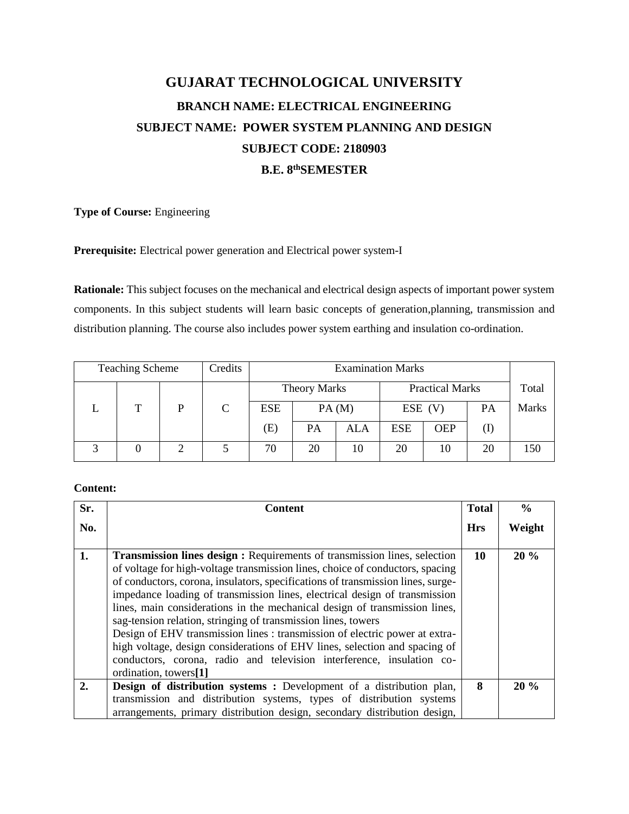# **GUJARAT TECHNOLOGICAL UNIVERSITY BRANCH NAME: ELECTRICAL ENGINEERING SUBJECT NAME: POWER SYSTEM PLANNING AND DESIGN SUBJECT CODE: 2180903 B.E. 8thSEMESTER**

# **Type of Course:** Engineering

### **Prerequisite:** Electrical power generation and Electrical power system-I

**Rationale:** This subject focuses on the mechanical and electrical design aspects of important power system components. In this subject students will learn basic concepts of generation,planning, transmission and distribution planning. The course also includes power system earthing and insulation co-ordination.

| <b>Teaching Scheme</b> |   | Credits |                     |           |       | <b>Examination Marks</b> |            |    |              |
|------------------------|---|---------|---------------------|-----------|-------|--------------------------|------------|----|--------------|
|                        |   |         | <b>Theory Marks</b> |           |       | <b>Practical Marks</b>   |            |    | Total        |
| т                      | Þ | C       | <b>ESE</b>          |           | PA(M) |                          | $ESE$ (V)  | PA | <b>Marks</b> |
|                        |   |         | (E)                 | <b>PA</b> | ALA   | <b>ESE</b>               | <b>OEP</b> |    |              |
| 0                      |   |         | 70                  | 20        | 10    | 20                       | 10         | 20 | 150          |

## **Content:**

| Sr. | <b>Content</b>                                                                                                                                                                                                                                                                                                                                                                                                                                                                                                                                                                                                                                                                                                                                   | <b>Total</b> | $\frac{0}{0}$ |
|-----|--------------------------------------------------------------------------------------------------------------------------------------------------------------------------------------------------------------------------------------------------------------------------------------------------------------------------------------------------------------------------------------------------------------------------------------------------------------------------------------------------------------------------------------------------------------------------------------------------------------------------------------------------------------------------------------------------------------------------------------------------|--------------|---------------|
| No. |                                                                                                                                                                                                                                                                                                                                                                                                                                                                                                                                                                                                                                                                                                                                                  | <b>Hrs</b>   | Weight        |
| 1.  | <b>Transmission lines design :</b> Requirements of transmission lines, selection<br>of voltage for high-voltage transmission lines, choice of conductors, spacing<br>of conductors, corona, insulators, specifications of transmission lines, surge-<br>impedance loading of transmission lines, electrical design of transmission<br>lines, main considerations in the mechanical design of transmission lines,<br>sag-tension relation, stringing of transmission lines, towers<br>Design of EHV transmission lines : transmission of electric power at extra-<br>high voltage, design considerations of EHV lines, selection and spacing of<br>conductors, corona, radio and television interference, insulation co-<br>ordination, towers[1] | 10           | 20%           |
| 2.  | <b>Design of distribution systems :</b> Development of a distribution plan,<br>transmission and distribution systems, types of distribution systems<br>arrangements, primary distribution design, secondary distribution design,                                                                                                                                                                                                                                                                                                                                                                                                                                                                                                                 | 8            | 20%           |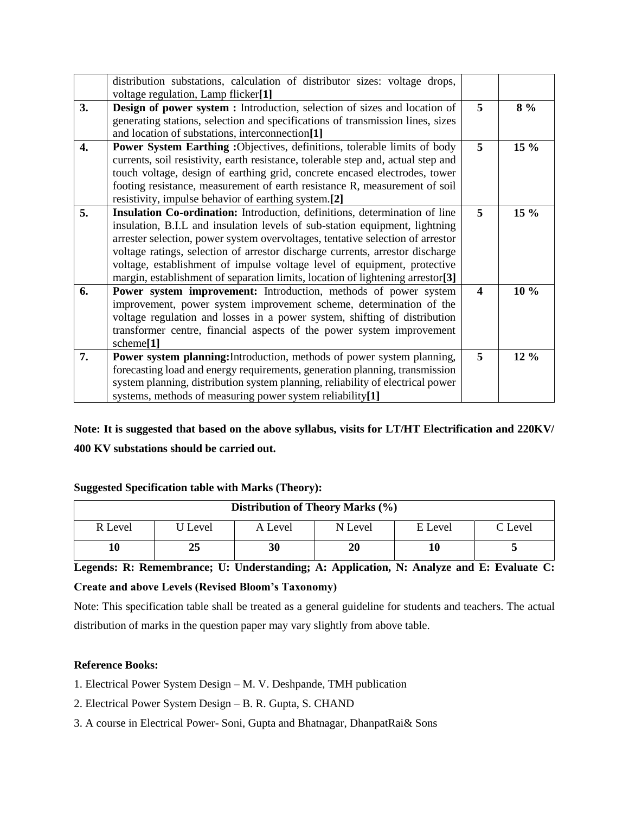|    | distribution substations, calculation of distributor sizes: voltage drops,                 |                         |        |
|----|--------------------------------------------------------------------------------------------|-------------------------|--------|
|    | voltage regulation, Lamp flicker[1]                                                        |                         |        |
| 3. | Design of power system : Introduction, selection of sizes and location of                  | 5                       | $8\%$  |
|    | generating stations, selection and specifications of transmission lines, sizes             |                         |        |
|    | and location of substations, interconnection[1]                                            |                         |        |
| 4. | Power System Earthing : Objectives, definitions, tolerable limits of body                  | 5                       | 15 %   |
|    | currents, soil resistivity, earth resistance, tolerable step and, actual step and          |                         |        |
|    | touch voltage, design of earthing grid, concrete encased electrodes, tower                 |                         |        |
|    | footing resistance, measurement of earth resistance R, measurement of soil                 |                         |        |
|    | resistivity, impulse behavior of earthing system.[2]                                       |                         |        |
| 5. | Insulation Co-ordination: Introduction, definitions, determination of line                 | 5                       | $15\%$ |
|    | insulation, B.I.L and insulation levels of sub-station equipment, lightning                |                         |        |
|    | arrester selection, power system overvoltages, tentative selection of arrestor             |                         |        |
|    | voltage ratings, selection of arrestor discharge currents, arrestor discharge              |                         |        |
|    | voltage, establishment of impulse voltage level of equipment, protective                   |                         |        |
|    | margin, establishment of separation limits, location of lightening arrestor <sup>[3]</sup> |                         |        |
| 6. | Power system improvement: Introduction, methods of power system                            | $\overline{\mathbf{4}}$ | 10 %   |
|    | improvement, power system improvement scheme, determination of the                         |                         |        |
|    | voltage regulation and losses in a power system, shifting of distribution                  |                         |        |
|    | transformer centre, financial aspects of the power system improvement                      |                         |        |
|    | scheme <sup>[1]</sup>                                                                      |                         |        |
| 7. | Power system planning: Introduction, methods of power system planning,                     | 5                       | 12 %   |
|    | forecasting load and energy requirements, generation planning, transmission                |                         |        |
|    | system planning, distribution system planning, reliability of electrical power             |                         |        |
|    | systems, methods of measuring power system reliability[1]                                  |                         |        |

**Note: It is suggested that based on the above syllabus, visits for LT/HT Electrification and 220KV/ 400 KV substations should be carried out.**

### **Suggested Specification table with Marks (Theory):**

| Distribution of Theory Marks (%) |         |         |         |         |         |  |  |
|----------------------------------|---------|---------|---------|---------|---------|--|--|
| R Level                          | U Level | A Level | N Level | E Level | C Level |  |  |
| 10                               | 25      | 30      | 20      |         |         |  |  |

**Legends: R: Remembrance; U: Understanding; A: Application, N: Analyze and E: Evaluate C: Create and above Levels (Revised Bloom's Taxonomy)**

Note: This specification table shall be treated as a general guideline for students and teachers. The actual distribution of marks in the question paper may vary slightly from above table.

### **Reference Books:**

- 1. Electrical Power System Design M. V. Deshpande, TMH publication
- 2. Electrical Power System Design B. R. Gupta, S. CHAND
- 3. A course in Electrical Power- Soni, Gupta and Bhatnagar, DhanpatRai& Sons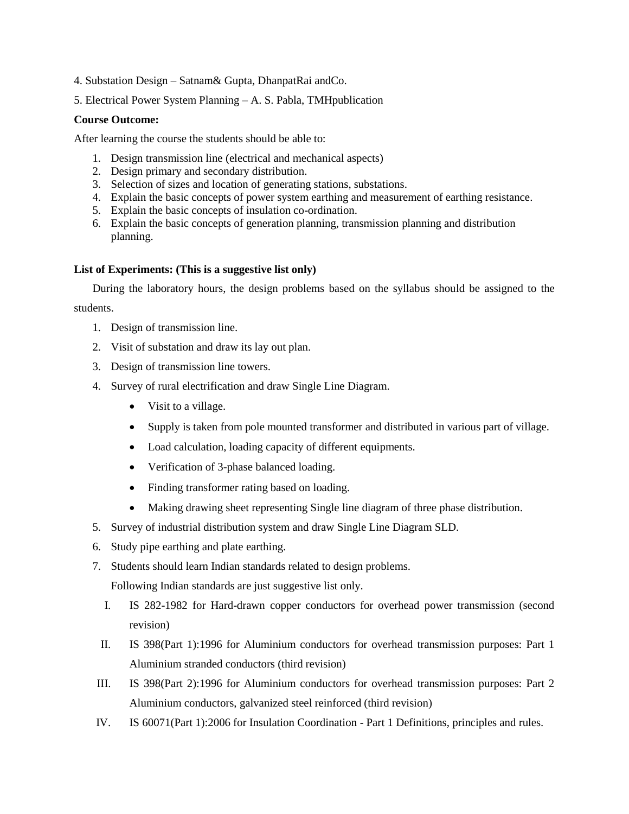- 4. Substation Design Satnam& Gupta, DhanpatRai andCo.
- 5. Electrical Power System Planning A. S. Pabla, TMHpublication

#### **Course Outcome:**

After learning the course the students should be able to:

- 1. Design transmission line (electrical and mechanical aspects)
- 2. Design primary and secondary distribution.
- 3. Selection of sizes and location of generating stations, substations.
- 4. Explain the basic concepts of power system earthing and measurement of earthing resistance.
- 5. Explain the basic concepts of insulation co-ordination.
- 6. Explain the basic concepts of generation planning, transmission planning and distribution planning.

#### **List of Experiments: (This is a suggestive list only)**

During the laboratory hours, the design problems based on the syllabus should be assigned to the students.

- 1. Design of transmission line.
- 2. Visit of substation and draw its lay out plan.
- 3. Design of transmission line towers.
- 4. Survey of rural electrification and draw Single Line Diagram.
	- Visit to a village.
	- Supply is taken from pole mounted transformer and distributed in various part of village.
	- Load calculation, loading capacity of different equipments.
	- Verification of 3-phase balanced loading.
	- Finding transformer rating based on loading.
	- Making drawing sheet representing Single line diagram of three phase distribution.
- 5. Survey of industrial distribution system and draw Single Line Diagram SLD.
- 6. Study pipe earthing and plate earthing.
- 7. Students should learn Indian standards related to design problems.

Following Indian standards are just suggestive list only.

- I. IS 282-1982 for Hard-drawn copper conductors for overhead power transmission (second revision)
- II. IS 398(Part 1):1996 for Aluminium conductors for overhead transmission purposes: Part 1 Aluminium stranded conductors (third revision)
- III. IS 398(Part 2):1996 for Aluminium conductors for overhead transmission purposes: Part 2 Aluminium conductors, galvanized steel reinforced (third revision)
- IV. IS 60071(Part 1):2006 for Insulation Coordination Part 1 Definitions, principles and rules.